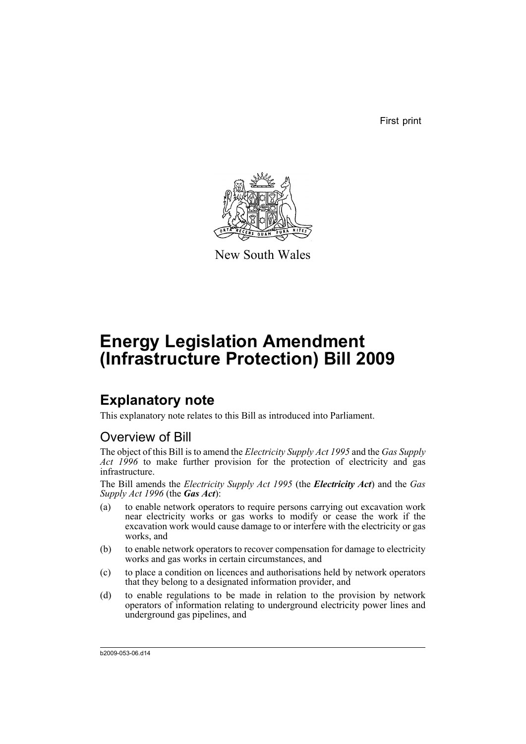First print



New South Wales

# **Energy Legislation Amendment (Infrastructure Protection) Bill 2009**

## **Explanatory note**

This explanatory note relates to this Bill as introduced into Parliament.

## Overview of Bill

The object of this Bill is to amend the *Electricity Supply Act 1995* and the *Gas Supply Act 1996* to make further provision for the protection of electricity and gas infrastructure.

The Bill amends the *Electricity Supply Act 1995* (the *Electricity Act*) and the *Gas Supply Act 1996* (the *Gas Act*):

- (a) to enable network operators to require persons carrying out excavation work near electricity works or gas works to modify or cease the work if the excavation work would cause damage to or interfere with the electricity or gas works, and
- (b) to enable network operators to recover compensation for damage to electricity works and gas works in certain circumstances, and
- (c) to place a condition on licences and authorisations held by network operators that they belong to a designated information provider, and
- (d) to enable regulations to be made in relation to the provision by network operators of information relating to underground electricity power lines and underground gas pipelines, and

b2009-053-06.d14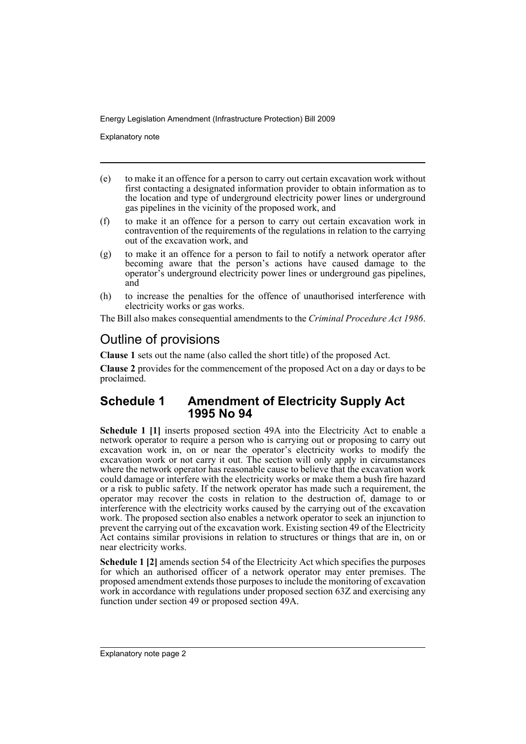Explanatory note

- (e) to make it an offence for a person to carry out certain excavation work without first contacting a designated information provider to obtain information as to the location and type of underground electricity power lines or underground gas pipelines in the vicinity of the proposed work, and
- (f) to make it an offence for a person to carry out certain excavation work in contravention of the requirements of the regulations in relation to the carrying out of the excavation work, and
- (g) to make it an offence for a person to fail to notify a network operator after becoming aware that the person's actions have caused damage to the operator's underground electricity power lines or underground gas pipelines, and
- (h) to increase the penalties for the offence of unauthorised interference with electricity works or gas works.

The Bill also makes consequential amendments to the *Criminal Procedure Act 1986*.

## Outline of provisions

**Clause 1** sets out the name (also called the short title) of the proposed Act.

**Clause 2** provides for the commencement of the proposed Act on a day or days to be proclaimed.

## **Schedule 1 Amendment of Electricity Supply Act 1995 No 94**

**Schedule 1 [1]** inserts proposed section 49A into the Electricity Act to enable a network operator to require a person who is carrying out or proposing to carry out excavation work in, on or near the operator's electricity works to modify the excavation work or not carry it out. The section will only apply in circumstances where the network operator has reasonable cause to believe that the excavation work could damage or interfere with the electricity works or make them a bush fire hazard or a risk to public safety. If the network operator has made such a requirement, the operator may recover the costs in relation to the destruction of, damage to or interference with the electricity works caused by the carrying out of the excavation work. The proposed section also enables a network operator to seek an injunction to prevent the carrying out of the excavation work. Existing section 49 of the Electricity Act contains similar provisions in relation to structures or things that are in, on or near electricity works.

**Schedule 1 [2]** amends section 54 of the Electricity Act which specifies the purposes for which an authorised officer of a network operator may enter premises. The proposed amendment extends those purposes to include the monitoring of excavation work in accordance with regulations under proposed section 63Z and exercising any function under section 49 or proposed section 49A.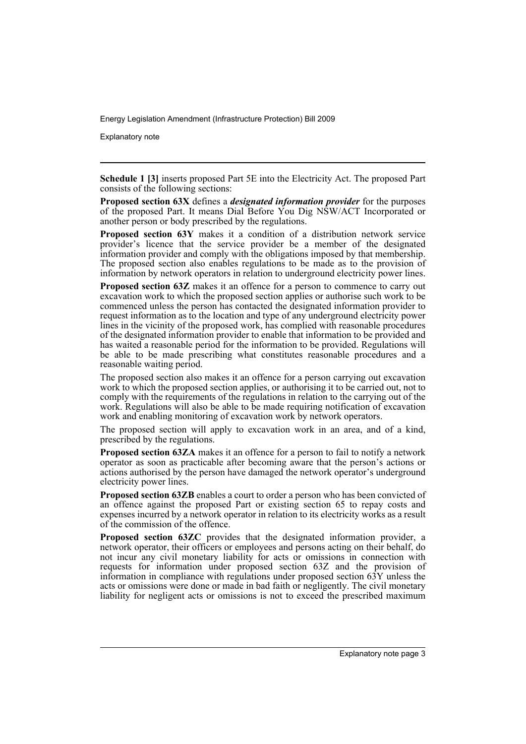Explanatory note

**Schedule 1 [3]** inserts proposed Part 5E into the Electricity Act. The proposed Part consists of the following sections:

**Proposed section 63X** defines a *designated information provider* for the purposes of the proposed Part. It means Dial Before You Dig NSW/ACT Incorporated or another person or body prescribed by the regulations.

**Proposed section 63Y** makes it a condition of a distribution network service provider's licence that the service provider be a member of the designated information provider and comply with the obligations imposed by that membership. The proposed section also enables regulations to be made as to the provision of information by network operators in relation to underground electricity power lines.

**Proposed section 63Z** makes it an offence for a person to commence to carry out excavation work to which the proposed section applies or authorise such work to be commenced unless the person has contacted the designated information provider to request information as to the location and type of any underground electricity power lines in the vicinity of the proposed work, has complied with reasonable procedures of the designated information provider to enable that information to be provided and has waited a reasonable period for the information to be provided. Regulations will be able to be made prescribing what constitutes reasonable procedures and a reasonable waiting period.

The proposed section also makes it an offence for a person carrying out excavation work to which the proposed section applies, or authorising it to be carried out, not to comply with the requirements of the regulations in relation to the carrying out of the work. Regulations will also be able to be made requiring notification of excavation work and enabling monitoring of excavation work by network operators.

The proposed section will apply to excavation work in an area, and of a kind, prescribed by the regulations.

**Proposed section 63ZA** makes it an offence for a person to fail to notify a network operator as soon as practicable after becoming aware that the person's actions or actions authorised by the person have damaged the network operator's underground electricity power lines.

**Proposed section 63ZB** enables a court to order a person who has been convicted of an offence against the proposed Part or existing section 65 to repay costs and expenses incurred by a network operator in relation to its electricity works as a result of the commission of the offence.

**Proposed section 63ZC** provides that the designated information provider, a network operator, their officers or employees and persons acting on their behalf, do not incur any civil monetary liability for acts or omissions in connection with requests for information under proposed section 63Z and the provision of information in compliance with regulations under proposed section 63Y unless the acts or omissions were done or made in bad faith or negligently. The civil monetary liability for negligent acts or omissions is not to exceed the prescribed maximum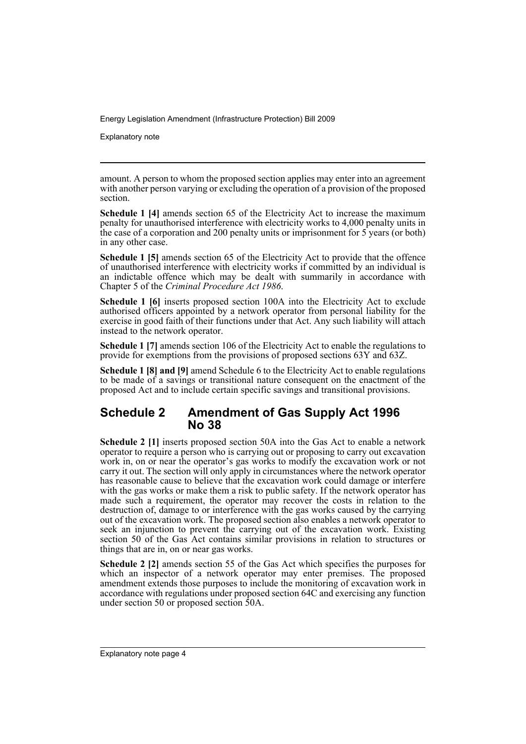Explanatory note

amount. A person to whom the proposed section applies may enter into an agreement with another person varying or excluding the operation of a provision of the proposed section.

**Schedule 1 [4]** amends section 65 of the Electricity Act to increase the maximum penalty for unauthorised interference with electricity works to 4,000 penalty units in the case of a corporation and 200 penalty units or imprisonment for 5 years (or both) in any other case.

**Schedule 1 [5]** amends section 65 of the Electricity Act to provide that the offence of unauthorised interference with electricity works if committed by an individual is an indictable offence which may be dealt with summarily in accordance with Chapter 5 of the *Criminal Procedure Act 1986*.

**Schedule 1 [6]** inserts proposed section 100A into the Electricity Act to exclude authorised officers appointed by a network operator from personal liability for the exercise in good faith of their functions under that Act. Any such liability will attach instead to the network operator.

**Schedule 1 [7]** amends section 106 of the Electricity Act to enable the regulations to provide for exemptions from the provisions of proposed sections 63Y and 63Z.

**Schedule 1 [8] and [9]** amend Schedule 6 to the Electricity Act to enable regulations to be made of a savings or transitional nature consequent on the enactment of the proposed Act and to include certain specific savings and transitional provisions.

### **Schedule 2 Amendment of Gas Supply Act 1996 No 38**

**Schedule 2 [1]** inserts proposed section 50A into the Gas Act to enable a network operator to require a person who is carrying out or proposing to carry out excavation work in, on or near the operator's gas works to modify the excavation work or not carry it out. The section will only apply in circumstances where the network operator has reasonable cause to believe that the excavation work could damage or interfere with the gas works or make them a risk to public safety. If the network operator has made such a requirement, the operator may recover the costs in relation to the destruction of, damage to or interference with the gas works caused by the carrying out of the excavation work. The proposed section also enables a network operator to seek an injunction to prevent the carrying out of the excavation work. Existing section 50 of the Gas Act contains similar provisions in relation to structures or things that are in, on or near gas works.

**Schedule 2 [2]** amends section 55 of the Gas Act which specifies the purposes for which an inspector of a network operator may enter premises. The proposed amendment extends those purposes to include the monitoring of excavation work in accordance with regulations under proposed section 64C and exercising any function under section 50 or proposed section 50A.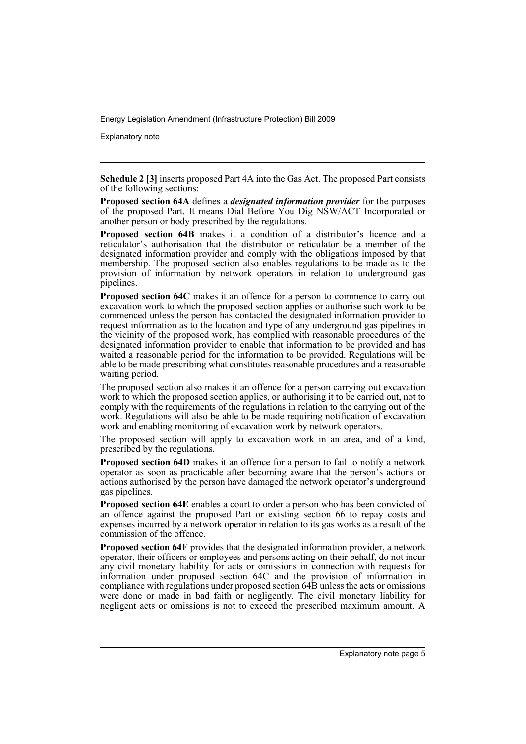Explanatory note

**Schedule 2 [3]** inserts proposed Part 4A into the Gas Act. The proposed Part consists of the following sections:

**Proposed section 64A** defines a *designated information provider* for the purposes of the proposed Part. It means Dial Before You Dig NSW/ACT Incorporated or another person or body prescribed by the regulations.

**Proposed section 64B** makes it a condition of a distributor's licence and a reticulator's authorisation that the distributor or reticulator be a member of the designated information provider and comply with the obligations imposed by that membership. The proposed section also enables regulations to be made as to the provision of information by network operators in relation to underground gas pipelines.

**Proposed section 64C** makes it an offence for a person to commence to carry out excavation work to which the proposed section applies or authorise such work to be commenced unless the person has contacted the designated information provider to request information as to the location and type of any underground gas pipelines in the vicinity of the proposed work, has complied with reasonable procedures of the designated information provider to enable that information to be provided and has waited a reasonable period for the information to be provided. Regulations will be able to be made prescribing what constitutes reasonable procedures and a reasonable waiting period.

The proposed section also makes it an offence for a person carrying out excavation work to which the proposed section applies, or authorising it to be carried out, not to comply with the requirements of the regulations in relation to the carrying out of the work. Regulations will also be able to be made requiring notification of excavation work and enabling monitoring of excavation work by network operators.

The proposed section will apply to excavation work in an area, and of a kind, prescribed by the regulations.

**Proposed section 64D** makes it an offence for a person to fail to notify a network operator as soon as practicable after becoming aware that the person's actions or actions authorised by the person have damaged the network operator's underground gas pipelines.

**Proposed section 64E** enables a court to order a person who has been convicted of an offence against the proposed Part or existing section 66 to repay costs and expenses incurred by a network operator in relation to its gas works as a result of the commission of the offence.

**Proposed section 64F** provides that the designated information provider, a network operator, their officers or employees and persons acting on their behalf, do not incur any civil monetary liability for acts or omissions in connection with requests for information under proposed section 64C and the provision of information in compliance with regulations under proposed section 64B unless the acts or omissions were done or made in bad faith or negligently. The civil monetary liability for negligent acts or omissions is not to exceed the prescribed maximum amount. A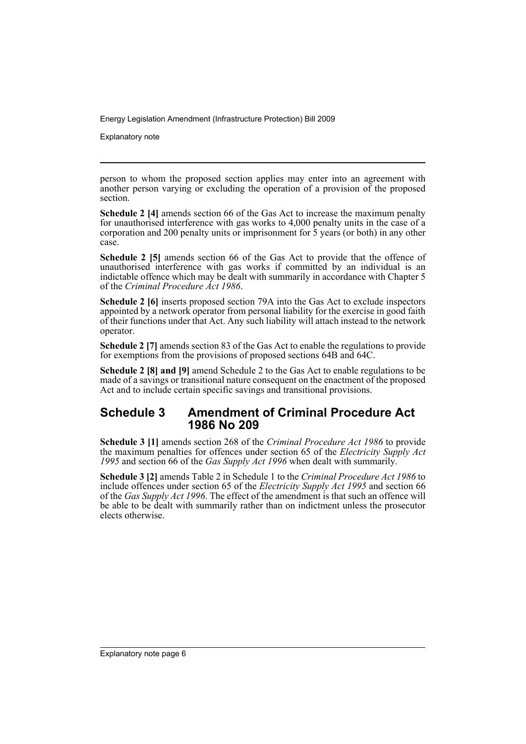Explanatory note

person to whom the proposed section applies may enter into an agreement with another person varying or excluding the operation of a provision of the proposed section.

**Schedule 2 [4]** amends section 66 of the Gas Act to increase the maximum penalty for unauthorised interference with gas works to 4,000 penalty units in the case of a corporation and 200 penalty units or imprisonment for  $\bar{5}$  years (or both) in any other case.

**Schedule 2 [5]** amends section 66 of the Gas Act to provide that the offence of unauthorised interference with gas works if committed by an individual is an indictable offence which may be dealt with summarily in accordance with Chapter 5 of the *Criminal Procedure Act 1986*.

**Schedule 2 [6]** inserts proposed section 79A into the Gas Act to exclude inspectors appointed by a network operator from personal liability for the exercise in good faith of their functions under that Act. Any such liability will attach instead to the network operator.

**Schedule 2 [7]** amends section 83 of the Gas Act to enable the regulations to provide for exemptions from the provisions of proposed sections 64B and 64C.

**Schedule 2 [8] and [9]** amend Schedule 2 to the Gas Act to enable regulations to be made of a savings or transitional nature consequent on the enactment of the proposed Act and to include certain specific savings and transitional provisions.

### **Schedule 3 Amendment of Criminal Procedure Act 1986 No 209**

**Schedule 3 [1]** amends section 268 of the *Criminal Procedure Act 1986* to provide the maximum penalties for offences under section 65 of the *Electricity Supply Act 1995* and section 66 of the *Gas Supply Act 1996* when dealt with summarily.

**Schedule 3 [2]** amends Table 2 in Schedule 1 to the *Criminal Procedure Act 1986* to include offences under section 65 of the *Electricity Supply Act 1995* and section 66 of the *Gas Supply Act 1996*. The effect of the amendment is that such an offence will be able to be dealt with summarily rather than on indictment unless the prosecutor elects otherwise.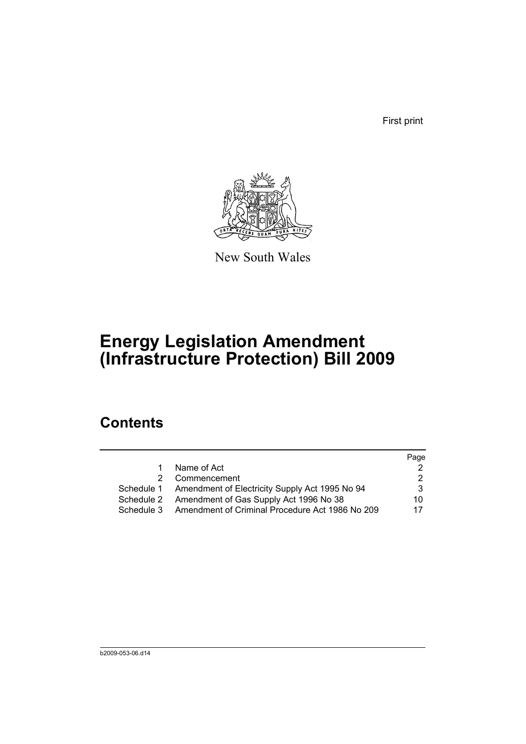First print



New South Wales

# **Energy Legislation Amendment (Infrastructure Protection) Bill 2009**

## **Contents**

|            |                                                           | Page |
|------------|-----------------------------------------------------------|------|
|            | Name of Act                                               |      |
| 2          | Commencement                                              |      |
|            | Schedule 1 Amendment of Electricity Supply Act 1995 No 94 | 3    |
| Schedule 2 | Amendment of Gas Supply Act 1996 No 38                    | 10.  |
| Schedule 3 | Amendment of Criminal Procedure Act 1986 No 209           | 17   |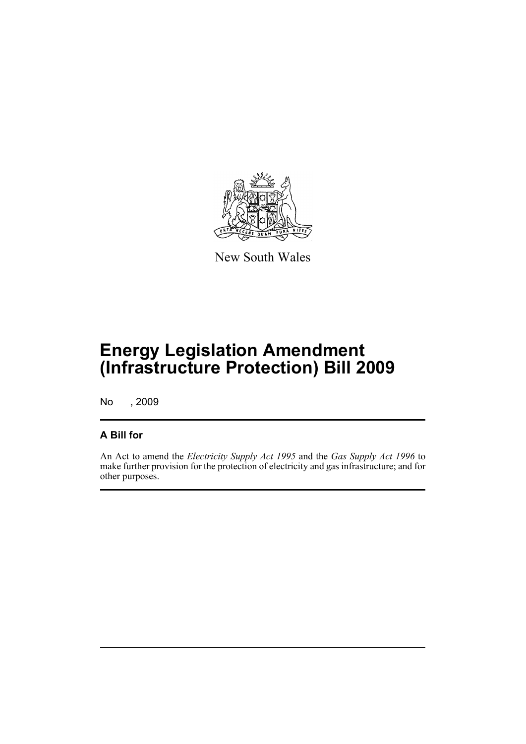

New South Wales

# **Energy Legislation Amendment (Infrastructure Protection) Bill 2009**

No , 2009

## **A Bill for**

An Act to amend the *Electricity Supply Act 1995* and the *Gas Supply Act 1996* to make further provision for the protection of electricity and gas infrastructure; and for other purposes.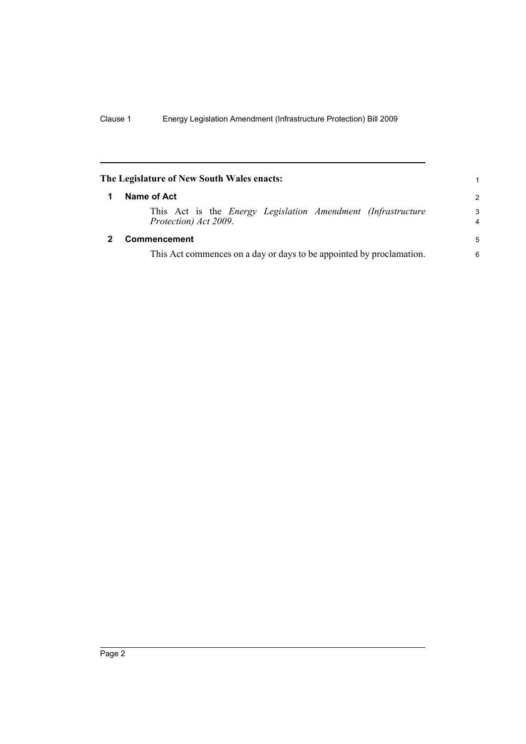<span id="page-9-1"></span><span id="page-9-0"></span>

| The Legislature of New South Wales enacts:                                                   | 1             |
|----------------------------------------------------------------------------------------------|---------------|
| Name of Act                                                                                  | $\mathcal{P}$ |
| This Act is the <i>Energy Legislation Amendment (Infrastructure</i><br>Protection) Act 2009. | 3<br>4        |
| <b>Commencement</b>                                                                          | 5             |
| This Act commences on a day or days to be appointed by proclamation.                         | 6             |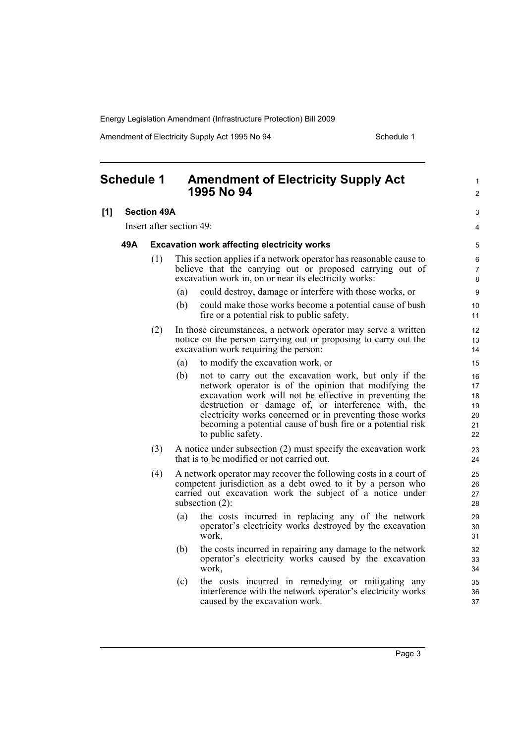Amendment of Electricity Supply Act 1995 No 94 Schedule 1

<span id="page-10-0"></span>

| <b>Schedule 1</b> |                    |     | <b>Amendment of Electricity Supply Act</b><br>1995 No 94                                                                                                                                                                                                                                                                                                                                | $\mathbf{1}$<br>$\overline{2}$         |  |
|-------------------|--------------------|-----|-----------------------------------------------------------------------------------------------------------------------------------------------------------------------------------------------------------------------------------------------------------------------------------------------------------------------------------------------------------------------------------------|----------------------------------------|--|
| [1]               | <b>Section 49A</b> |     |                                                                                                                                                                                                                                                                                                                                                                                         |                                        |  |
|                   |                    |     | Insert after section 49:                                                                                                                                                                                                                                                                                                                                                                | 4                                      |  |
|                   | 49A                |     | <b>Excavation work affecting electricity works</b>                                                                                                                                                                                                                                                                                                                                      | 5                                      |  |
|                   |                    | (1) | This section applies if a network operator has reasonable cause to<br>believe that the carrying out or proposed carrying out of<br>excavation work in, on or near its electricity works:                                                                                                                                                                                                | 6<br>$\overline{7}$<br>8               |  |
|                   |                    |     | could destroy, damage or interfere with those works, or<br>(a)                                                                                                                                                                                                                                                                                                                          | 9                                      |  |
|                   |                    |     | (b)<br>could make those works become a potential cause of bush<br>fire or a potential risk to public safety.                                                                                                                                                                                                                                                                            | 10<br>11                               |  |
|                   |                    | (2) | In those circumstances, a network operator may serve a written<br>notice on the person carrying out or proposing to carry out the<br>excavation work requiring the person:                                                                                                                                                                                                              | 12<br>13<br>14                         |  |
|                   |                    |     | to modify the excavation work, or<br>(a)                                                                                                                                                                                                                                                                                                                                                | 15                                     |  |
|                   |                    |     | not to carry out the excavation work, but only if the<br>(b)<br>network operator is of the opinion that modifying the<br>excavation work will not be effective in preventing the<br>destruction or damage of, or interference with, the<br>electricity works concerned or in preventing those works<br>becoming a potential cause of bush fire or a potential risk<br>to public safety. | 16<br>17<br>18<br>19<br>20<br>21<br>22 |  |
|                   |                    | (3) | A notice under subsection (2) must specify the excavation work<br>that is to be modified or not carried out.                                                                                                                                                                                                                                                                            | 23<br>24                               |  |
|                   |                    | (4) | A network operator may recover the following costs in a court of<br>competent jurisdiction as a debt owed to it by a person who<br>carried out excavation work the subject of a notice under<br>subsection $(2)$ :                                                                                                                                                                      | 25<br>26<br>27<br>28                   |  |
|                   |                    |     | the costs incurred in replacing any of the network<br>(a)<br>operator's electricity works destroyed by the excavation<br>work,                                                                                                                                                                                                                                                          | 29<br>30<br>31                         |  |
|                   |                    |     | the costs incurred in repairing any damage to the network<br>(b)<br>operator's electricity works caused by the excavation<br>work,                                                                                                                                                                                                                                                      | 32<br>33<br>34                         |  |
|                   |                    |     | the costs incurred in remedying or mitigating any<br>(c)<br>interference with the network operator's electricity works<br>caused by the excavation work.                                                                                                                                                                                                                                | 35<br>36<br>37                         |  |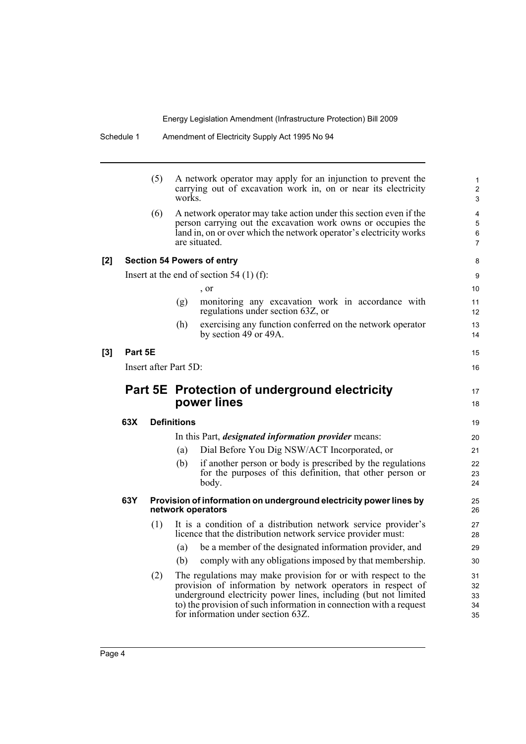|     |         | (5) | A network operator may apply for an injunction to prevent the<br>carrying out of excavation work in, on or near its electricity<br>works.                                                                                |  | 1<br>$\overline{2}$<br>3                   |
|-----|---------|-----|--------------------------------------------------------------------------------------------------------------------------------------------------------------------------------------------------------------------------|--|--------------------------------------------|
|     |         | (6) | A network operator may take action under this section even if the<br>person carrying out the excavation work owns or occupies the<br>land in, on or over which the network operator's electricity works<br>are situated. |  | $\overline{4}$<br>5<br>6<br>$\overline{7}$ |
| [2] |         |     | <b>Section 54 Powers of entry</b>                                                                                                                                                                                        |  | 8                                          |
|     |         |     | Insert at the end of section $54(1)(f)$ :                                                                                                                                                                                |  | 9                                          |
|     |         |     | , or                                                                                                                                                                                                                     |  | 10                                         |
|     |         |     | monitoring any excavation work in accordance with<br>(g)<br>regulations under section 63Z, or                                                                                                                            |  | 11<br>12 <sup>2</sup>                      |
|     |         |     | exercising any function conferred on the network operator<br>(h)<br>by section 49 or 49A.                                                                                                                                |  | 13<br>14                                   |
| [3] | Part 5E |     |                                                                                                                                                                                                                          |  | 15                                         |
|     |         |     | Insert after Part 5D:                                                                                                                                                                                                    |  | 16                                         |
|     |         |     |                                                                                                                                                                                                                          |  |                                            |
|     |         |     | Part 5E Protection of underground electricity<br>power lines                                                                                                                                                             |  | 17<br>18                                   |
|     | 63X     |     | <b>Definitions</b>                                                                                                                                                                                                       |  | 19                                         |
|     |         |     | In this Part, <i>designated information provider</i> means:                                                                                                                                                              |  | 20                                         |
|     |         |     | Dial Before You Dig NSW/ACT Incorporated, or<br>(a)                                                                                                                                                                      |  | 21                                         |
|     |         |     | if another person or body is prescribed by the regulations<br>(b)<br>for the purposes of this definition, that other person or<br>body.                                                                                  |  | 22<br>23<br>24                             |
|     | 63Y     |     | Provision of information on underground electricity power lines by<br>network operators                                                                                                                                  |  | 25<br>26                                   |
|     |         | (1) | It is a condition of a distribution network service provider's<br>licence that the distribution network service provider must:                                                                                           |  | 27<br>28                                   |
|     |         |     | be a member of the designated information provider, and<br>(a)                                                                                                                                                           |  | 29                                         |
|     |         |     | comply with any obligations imposed by that membership.<br>(b)                                                                                                                                                           |  | 30                                         |
|     |         | (2) | The regulations may make provision for or with respect to the                                                                                                                                                            |  | 31                                         |
|     |         |     | provision of information by network operators in respect of<br>underground electricity power lines, including (but not limited                                                                                           |  | 32<br>33                                   |
|     |         |     | to) the provision of such information in connection with a request                                                                                                                                                       |  |                                            |
|     |         |     | for information under section 63Z.                                                                                                                                                                                       |  | 34<br>35                                   |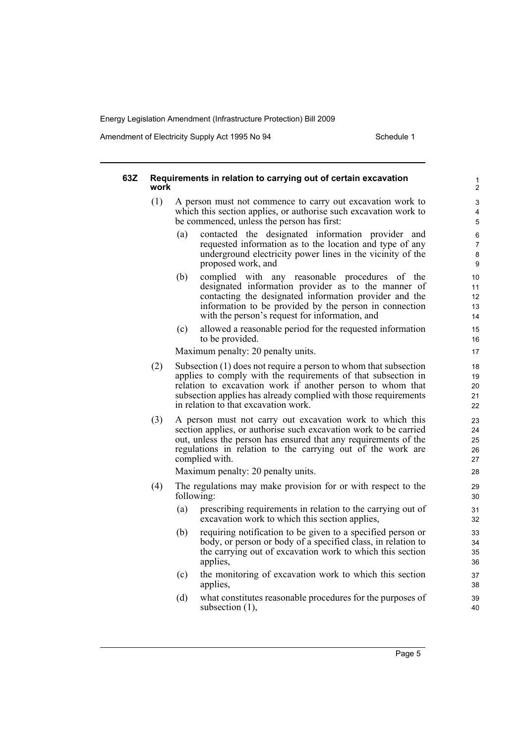Amendment of Electricity Supply Act 1995 No 94 Schedule 1

#### **63Z Requirements in relation to carrying out of certain excavation work** (1) A person must not commence to carry out excavation work to which this section applies, or authorise such excavation work to be commenced, unless the person has first: (a) contacted the designated information provider and requested information as to the location and type of any underground electricity power lines in the vicinity of the proposed work, and (b) complied with any reasonable procedures of the designated information provider as to the manner of contacting the designated information provider and the information to be provided by the person in connection with the person's request for information, and (c) allowed a reasonable period for the requested information to be provided. Maximum penalty: 20 penalty units. (2) Subsection (1) does not require a person to whom that subsection applies to comply with the requirements of that subsection in relation to excavation work if another person to whom that subsection applies has already complied with those requirements in relation to that excavation work. (3) A person must not carry out excavation work to which this section applies, or authorise such excavation work to be carried out, unless the person has ensured that any requirements of the regulations in relation to the carrying out of the work are complied with. Maximum penalty: 20 penalty units. (4) The regulations may make provision for or with respect to the following: (a) prescribing requirements in relation to the carrying out of excavation work to which this section applies, (b) requiring notification to be given to a specified person or body, or person or body of a specified class, in relation to the carrying out of excavation work to which this section applies, (c) the monitoring of excavation work to which this section applies, (d) what constitutes reasonable procedures for the purposes of subsection (1), 1  $\overline{2}$ 3 4 5 6 7 8 9 10 11 12 13 14 15 16 17 18 19 20  $21$  $22$ 23  $24$ 25 26 27 28 29 30 31 32 33 34 35 36 37 38 39 40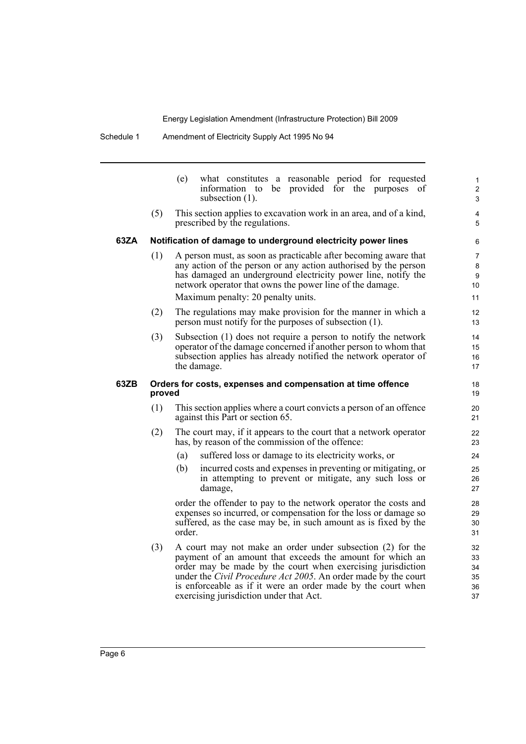|      |        | what constitutes a reasonable period for requested<br>(e)<br>information to be provided for the purposes<br><sub>of</sub><br>subsection (1).                                                                                                                                                                                                                                | $\mathbf{1}$<br>$\overline{c}$<br>3        |
|------|--------|-----------------------------------------------------------------------------------------------------------------------------------------------------------------------------------------------------------------------------------------------------------------------------------------------------------------------------------------------------------------------------|--------------------------------------------|
|      | (5)    | This section applies to excavation work in an area, and of a kind,<br>prescribed by the regulations.                                                                                                                                                                                                                                                                        | 4<br>5                                     |
| 63ZA |        | Notification of damage to underground electricity power lines                                                                                                                                                                                                                                                                                                               | 6                                          |
|      | (1)    | A person must, as soon as practicable after becoming aware that<br>any action of the person or any action authorised by the person<br>has damaged an underground electricity power line, notify the<br>network operator that owns the power line of the damage.<br>Maximum penalty: 20 penalty units.                                                                       | $\overline{7}$<br>$\bf 8$<br>9<br>10<br>11 |
|      | (2)    | The regulations may make provision for the manner in which a<br>person must notify for the purposes of subsection (1).                                                                                                                                                                                                                                                      | 12<br>13                                   |
|      | (3)    | Subsection (1) does not require a person to notify the network<br>operator of the damage concerned if another person to whom that<br>subsection applies has already notified the network operator of<br>the damage.                                                                                                                                                         | 14<br>15<br>16<br>17                       |
| 63ZB | proved | Orders for costs, expenses and compensation at time offence                                                                                                                                                                                                                                                                                                                 | 18<br>19                                   |
|      | (1)    | This section applies where a court convicts a person of an offence<br>against this Part or section 65.                                                                                                                                                                                                                                                                      | 20<br>21                                   |
|      | (2)    | The court may, if it appears to the court that a network operator<br>has, by reason of the commission of the offence:                                                                                                                                                                                                                                                       | 22<br>23                                   |
|      |        | suffered loss or damage to its electricity works, or<br>(a)                                                                                                                                                                                                                                                                                                                 | 24                                         |
|      |        | (b)<br>incurred costs and expenses in preventing or mitigating, or<br>in attempting to prevent or mitigate, any such loss or<br>damage,                                                                                                                                                                                                                                     | 25<br>26<br>27                             |
|      |        | order the offender to pay to the network operator the costs and<br>expenses so incurred, or compensation for the loss or damage so<br>suffered, as the case may be, in such amount as is fixed by the<br>order.                                                                                                                                                             | 28<br>29<br>30<br>31                       |
|      | (3)    | A court may not make an order under subsection (2) for the<br>payment of an amount that exceeds the amount for which an<br>order may be made by the court when exercising jurisdiction<br>under the <i>Civil Procedure Act 2005</i> . An order made by the court<br>is enforceable as if it were an order made by the court when<br>exercising jurisdiction under that Act. | 32<br>33<br>34<br>35<br>36<br>37           |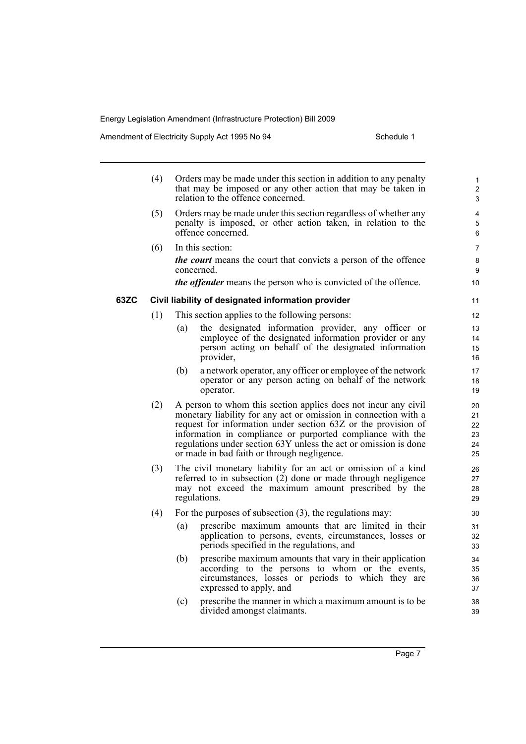Amendment of Electricity Supply Act 1995 No 94 Schedule 1

|      | (4) |     | Orders may be made under this section in addition to any penalty<br>that may be imposed or any other action that may be taken in<br>relation to the offence concerned.                                                                                                                                                                                                              | $\mathbf{1}$<br>2<br>3           |
|------|-----|-----|-------------------------------------------------------------------------------------------------------------------------------------------------------------------------------------------------------------------------------------------------------------------------------------------------------------------------------------------------------------------------------------|----------------------------------|
|      | (5) |     | Orders may be made under this section regardless of whether any<br>penalty is imposed, or other action taken, in relation to the<br>offence concerned.                                                                                                                                                                                                                              | 4<br>5<br>6                      |
|      | (6) |     | In this section:                                                                                                                                                                                                                                                                                                                                                                    | $\overline{7}$                   |
|      |     |     | <i>the court</i> means the court that convicts a person of the offence<br>concerned.                                                                                                                                                                                                                                                                                                | 8<br>9                           |
|      |     |     | <i>the offender</i> means the person who is convicted of the offence.                                                                                                                                                                                                                                                                                                               | 10                               |
| 63ZC |     |     | Civil liability of designated information provider                                                                                                                                                                                                                                                                                                                                  | 11                               |
|      | (1) |     | This section applies to the following persons:                                                                                                                                                                                                                                                                                                                                      | 12                               |
|      |     | (a) | the designated information provider, any officer or<br>employee of the designated information provider or any<br>person acting on behalf of the designated information<br>provider,                                                                                                                                                                                                 | 13<br>14<br>15<br>16             |
|      |     | (b) | a network operator, any officer or employee of the network<br>operator or any person acting on behalf of the network<br>operator.                                                                                                                                                                                                                                                   | 17<br>18<br>19                   |
|      | (2) |     | A person to whom this section applies does not incur any civil<br>monetary liability for any act or omission in connection with a<br>request for information under section 63Z or the provision of<br>information in compliance or purported compliance with the<br>regulations under section 63Y unless the act or omission is done<br>or made in bad faith or through negligence. | 20<br>21<br>22<br>23<br>24<br>25 |
|      | (3) |     | The civil monetary liability for an act or omission of a kind<br>referred to in subsection $(2)$ done or made through negligence<br>may not exceed the maximum amount prescribed by the<br>regulations.                                                                                                                                                                             | 26<br>27<br>28<br>29             |
|      | (4) |     | For the purposes of subsection $(3)$ , the regulations may:                                                                                                                                                                                                                                                                                                                         | 30                               |
|      |     | (a) | prescribe maximum amounts that are limited in their<br>application to persons, events, circumstances, losses or<br>periods specified in the regulations, and                                                                                                                                                                                                                        | 31<br>32<br>33                   |
|      |     | (b) | prescribe maximum amounts that vary in their application<br>according to the persons to whom or the events,<br>circumstances, losses or periods to which they are<br>expressed to apply, and                                                                                                                                                                                        | 34<br>35<br>36<br>37             |
|      |     | (c) | prescribe the manner in which a maximum amount is to be<br>divided amongst claimants.                                                                                                                                                                                                                                                                                               | 38<br>39                         |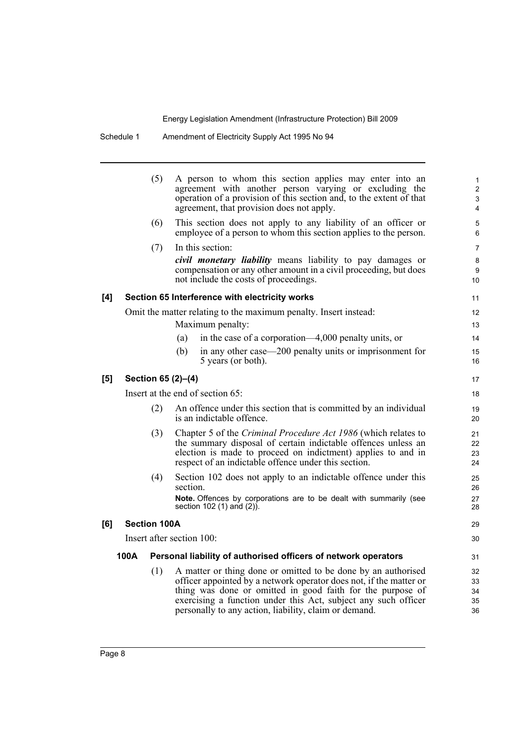Schedule 1 Amendment of Electricity Supply Act 1995 No 94

|     |                     | (5)                       | A person to whom this section applies may enter into an<br>agreement with another person varying or excluding the<br>operation of a provision of this section and, to the extent of that<br>agreement, that provision does not apply.                                                                                        | $\mathbf{1}$<br>$\overline{\mathbf{c}}$<br>3<br>$\overline{4}$ |
|-----|---------------------|---------------------------|------------------------------------------------------------------------------------------------------------------------------------------------------------------------------------------------------------------------------------------------------------------------------------------------------------------------------|----------------------------------------------------------------|
|     |                     | (6)                       | This section does not apply to any liability of an officer or<br>employee of a person to whom this section applies to the person.                                                                                                                                                                                            | $\mathbf 5$<br>6                                               |
|     |                     | (7)                       | In this section:                                                                                                                                                                                                                                                                                                             | 7                                                              |
|     |                     |                           | <i>civil monetary liability</i> means liability to pay damages or<br>compensation or any other amount in a civil proceeding, but does<br>not include the costs of proceedings.                                                                                                                                               | 8<br>9<br>10                                                   |
| [4] |                     |                           | Section 65 Interference with electricity works                                                                                                                                                                                                                                                                               | 11                                                             |
|     |                     |                           | Omit the matter relating to the maximum penalty. Insert instead:                                                                                                                                                                                                                                                             | 12                                                             |
|     |                     |                           | Maximum penalty:                                                                                                                                                                                                                                                                                                             | 13                                                             |
|     |                     | (a)                       | in the case of a corporation—4,000 penalty units, or                                                                                                                                                                                                                                                                         | 14                                                             |
|     |                     | (b)                       | in any other case—200 penalty units or imprisonment for<br>5 years (or both).                                                                                                                                                                                                                                                | 15<br>16                                                       |
| [5] |                     | Section 65 (2)-(4)        |                                                                                                                                                                                                                                                                                                                              | 17                                                             |
|     |                     |                           | Insert at the end of section 65:                                                                                                                                                                                                                                                                                             | 18                                                             |
|     |                     | (2)                       | An offence under this section that is committed by an individual<br>is an indictable offence.                                                                                                                                                                                                                                | 19<br>20                                                       |
|     |                     | (3)                       | Chapter 5 of the Criminal Procedure Act 1986 (which relates to<br>the summary disposal of certain indictable offences unless an<br>election is made to proceed on indictment) applies to and in<br>respect of an indictable offence under this section.                                                                      | 21<br>22<br>23<br>24                                           |
|     |                     | (4)                       | Section 102 does not apply to an indictable offence under this<br>section.<br>Note. Offences by corporations are to be dealt with summarily (see                                                                                                                                                                             | 25<br>26<br>27                                                 |
|     |                     |                           | section 102 (1) and (2)).                                                                                                                                                                                                                                                                                                    | 28                                                             |
| [6] | <b>Section 100A</b> |                           |                                                                                                                                                                                                                                                                                                                              | 29                                                             |
|     |                     | Insert after section 100: |                                                                                                                                                                                                                                                                                                                              | 30                                                             |
|     | 100A                |                           | Personal liability of authorised officers of network operators                                                                                                                                                                                                                                                               | 31                                                             |
|     |                     | (1)                       | A matter or thing done or omitted to be done by an authorised<br>officer appointed by a network operator does not, if the matter or<br>thing was done or omitted in good faith for the purpose of<br>exercising a function under this Act, subject any such officer<br>personally to any action, liability, claim or demand. | 32<br>33<br>34<br>35<br>36                                     |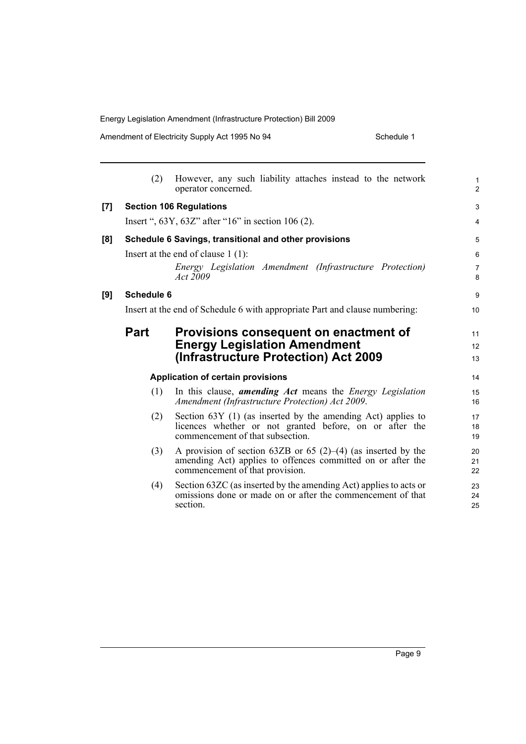Amendment of Electricity Supply Act 1995 No 94 Schedule 1

|     | (2)               | However, any such liability attaches instead to the network<br>operator concerned.                                                                                    | $\mathbf{1}$<br>$\overline{2}$ |
|-----|-------------------|-----------------------------------------------------------------------------------------------------------------------------------------------------------------------|--------------------------------|
| [7] |                   | <b>Section 106 Regulations</b>                                                                                                                                        | 3                              |
|     |                   | Insert ", $63Y$ , $63Z$ " after " $16$ " in section $106(2)$ .                                                                                                        | $\overline{4}$                 |
| [8] |                   | Schedule 6 Savings, transitional and other provisions                                                                                                                 | 5                              |
|     |                   | Insert at the end of clause $1(1)$ :                                                                                                                                  | 6                              |
|     |                   | Energy Legislation Amendment (Infrastructure Protection)<br>Act 2009                                                                                                  | $\overline{7}$<br>8            |
| [9] | <b>Schedule 6</b> |                                                                                                                                                                       | 9                              |
|     |                   | Insert at the end of Schedule 6 with appropriate Part and clause numbering:                                                                                           | 10                             |
|     | <b>Part</b>       | Provisions consequent on enactment of<br><b>Energy Legislation Amendment</b><br>(Infrastructure Protection) Act 2009                                                  | 11<br>12<br>13                 |
|     |                   | <b>Application of certain provisions</b>                                                                                                                              | 14                             |
|     | (1)               | In this clause, <i>amending Act</i> means the <i>Energy Legislation</i><br>Amendment (Infrastructure Protection) Act 2009.                                            | 15<br>16                       |
|     | (2)               | Section 63Y (1) (as inserted by the amending Act) applies to<br>licences whether or not granted before, on or after the<br>commencement of that subsection.           | 17<br>18<br>19                 |
|     | (3)               | A provision of section 63ZB or 65 $(2)$ – $(4)$ (as inserted by the<br>amending Act) applies to offences committed on or after the<br>commencement of that provision. | 20<br>21<br>22                 |
|     | (4)               | Section 63ZC (as inserted by the amending Act) applies to acts or<br>omissions done or made on or after the commencement of that<br>section.                          | 23<br>24<br>25                 |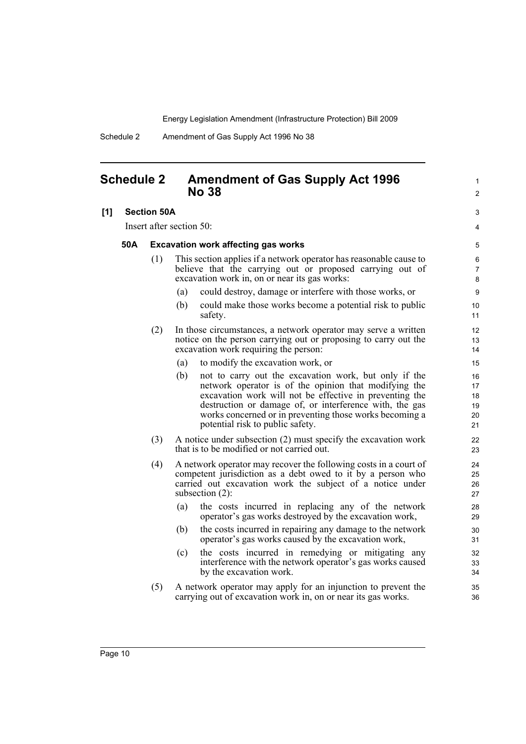Schedule 2 Amendment of Gas Supply Act 1996 No 38

### <span id="page-17-0"></span>**Schedule 2 Amendment of Gas Supply Act 1996 No 38**

### **[1] Section 50A**

Insert after section 50:

### **50A Excavation work affecting gas works**

- (1) This section applies if a network operator has reasonable cause to believe that the carrying out or proposed carrying out of excavation work in, on or near its gas works:
	- (a) could destroy, damage or interfere with those works, or
	- (b) could make those works become a potential risk to public safety.

1  $\mathfrak{p}$ 

3 4

- (2) In those circumstances, a network operator may serve a written notice on the person carrying out or proposing to carry out the excavation work requiring the person:
	- (a) to modify the excavation work, or
	- (b) not to carry out the excavation work, but only if the network operator is of the opinion that modifying the excavation work will not be effective in preventing the destruction or damage of, or interference with, the gas works concerned or in preventing those works becoming a potential risk to public safety.
- (3) A notice under subsection (2) must specify the excavation work that is to be modified or not carried out.
- (4) A network operator may recover the following costs in a court of competent jurisdiction as a debt owed to it by a person who carried out excavation work the subject of a notice under subsection (2):
	- (a) the costs incurred in replacing any of the network operator's gas works destroyed by the excavation work,
	- (b) the costs incurred in repairing any damage to the network operator's gas works caused by the excavation work,
	- (c) the costs incurred in remedying or mitigating any interference with the network operator's gas works caused by the excavation work.
- (5) A network operator may apply for an injunction to prevent the carrying out of excavation work in, on or near its gas works.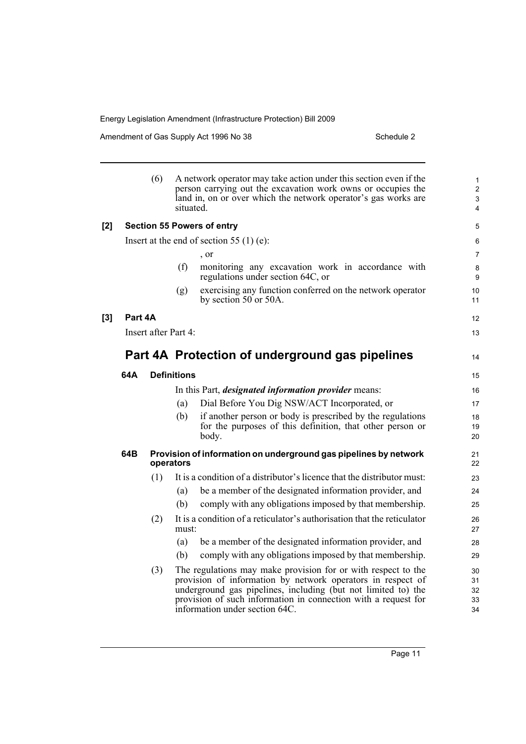Amendment of Gas Supply Act 1996 No 38 Schedule 2 Schedule 2

|     |         | (6)                  | situated.          | A network operator may take action under this section even if the<br>person carrying out the excavation work owns or occupies the<br>land in, on or over which the network operator's gas works are                                                                                               | $\mathbf{1}$<br>$\overline{c}$<br>3<br>4 |
|-----|---------|----------------------|--------------------|---------------------------------------------------------------------------------------------------------------------------------------------------------------------------------------------------------------------------------------------------------------------------------------------------|------------------------------------------|
| [2] |         |                      |                    | <b>Section 55 Powers of entry</b>                                                                                                                                                                                                                                                                 | 5                                        |
|     |         |                      |                    | Insert at the end of section 55 (1) (e):                                                                                                                                                                                                                                                          | 6                                        |
|     |         |                      |                    | , or                                                                                                                                                                                                                                                                                              | $\overline{7}$                           |
|     |         |                      | (f)                | monitoring any excavation work in accordance with<br>regulations under section 64C, or                                                                                                                                                                                                            | 8<br>9                                   |
|     |         |                      | (g)                | exercising any function conferred on the network operator<br>by section 50 or 50A.                                                                                                                                                                                                                | 10<br>11                                 |
| [3] | Part 4A |                      |                    |                                                                                                                                                                                                                                                                                                   | 12                                       |
|     |         | Insert after Part 4: |                    |                                                                                                                                                                                                                                                                                                   | 13                                       |
|     |         |                      |                    | Part 4A Protection of underground gas pipelines                                                                                                                                                                                                                                                   | 14                                       |
|     | 64A     |                      | <b>Definitions</b> |                                                                                                                                                                                                                                                                                                   | 15                                       |
|     |         |                      |                    | In this Part, <i>designated information provider</i> means:                                                                                                                                                                                                                                       | 16                                       |
|     |         |                      | (a)                | Dial Before You Dig NSW/ACT Incorporated, or                                                                                                                                                                                                                                                      | 17                                       |
|     |         |                      | (b)                | if another person or body is prescribed by the regulations<br>for the purposes of this definition, that other person or<br>body.                                                                                                                                                                  | 18<br>19<br>20                           |
|     | 64B     | operators            |                    | Provision of information on underground gas pipelines by network                                                                                                                                                                                                                                  | 21<br>22                                 |
|     |         | (1)                  |                    | It is a condition of a distributor's licence that the distributor must:                                                                                                                                                                                                                           | 23                                       |
|     |         |                      | (a)                | be a member of the designated information provider, and                                                                                                                                                                                                                                           | 24                                       |
|     |         |                      | (b)                | comply with any obligations imposed by that membership.                                                                                                                                                                                                                                           | 25                                       |
|     |         | (2)                  | must:              | It is a condition of a reticulator's authorisation that the reticulator                                                                                                                                                                                                                           | 26<br>27                                 |
|     |         |                      | (a)                | be a member of the designated information provider, and                                                                                                                                                                                                                                           | 28                                       |
|     |         |                      | (b)                | comply with any obligations imposed by that membership.                                                                                                                                                                                                                                           | 29                                       |
|     |         | (3)                  |                    | The regulations may make provision for or with respect to the<br>provision of information by network operators in respect of<br>underground gas pipelines, including (but not limited to) the<br>provision of such information in connection with a request for<br>information under section 64C. | 30<br>31<br>32<br>33<br>34               |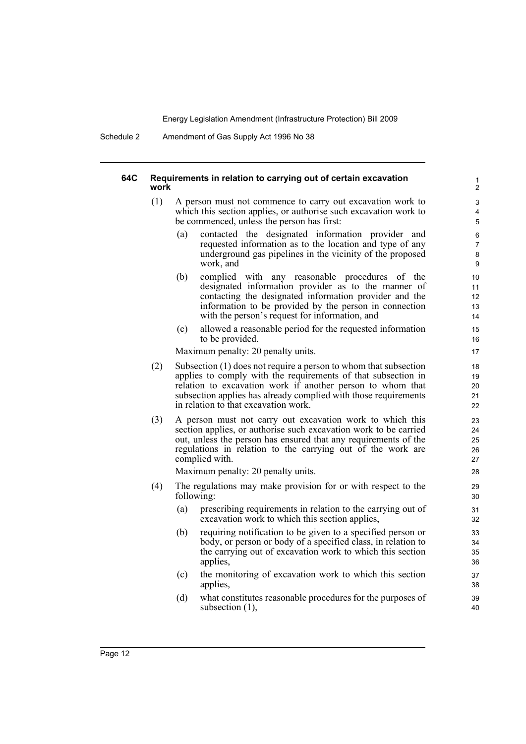Schedule 2 Amendment of Gas Supply Act 1996 No 38

#### **64C Requirements in relation to carrying out of certain excavation work**

- (1) A person must not commence to carry out excavation work to which this section applies, or authorise such excavation work to be commenced, unless the person has first:
	- (a) contacted the designated information provider and requested information as to the location and type of any underground gas pipelines in the vicinity of the proposed work, and

- (b) complied with any reasonable procedures of the designated information provider as to the manner of contacting the designated information provider and the information to be provided by the person in connection with the person's request for information, and
- (c) allowed a reasonable period for the requested information to be provided.

Maximum penalty: 20 penalty units.

- (2) Subsection (1) does not require a person to whom that subsection applies to comply with the requirements of that subsection in relation to excavation work if another person to whom that subsection applies has already complied with those requirements in relation to that excavation work.
- (3) A person must not carry out excavation work to which this section applies, or authorise such excavation work to be carried out, unless the person has ensured that any requirements of the regulations in relation to the carrying out of the work are complied with.

Maximum penalty: 20 penalty units.

- (4) The regulations may make provision for or with respect to the following:
	- (a) prescribing requirements in relation to the carrying out of excavation work to which this section applies,
	- (b) requiring notification to be given to a specified person or body, or person or body of a specified class, in relation to the carrying out of excavation work to which this section applies,
	- (c) the monitoring of excavation work to which this section applies,
	- (d) what constitutes reasonable procedures for the purposes of subsection (1),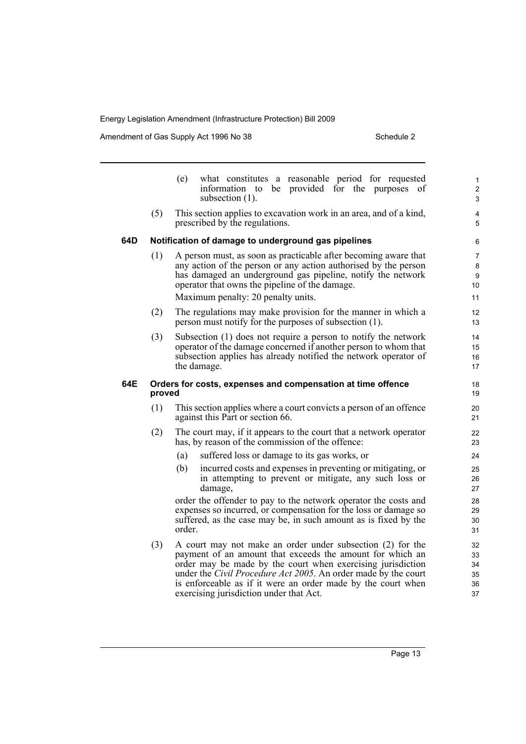Amendment of Gas Supply Act 1996 No 38 Schedule 2 Schedule 2

|     |        | what constitutes a reasonable period for requested<br>(e)<br>information to be provided for the purposes of<br>subsection $(1)$ .                                                                                                                                                                                                                                           | $\mathbf{1}$<br>$\overline{2}$<br>3 |
|-----|--------|-----------------------------------------------------------------------------------------------------------------------------------------------------------------------------------------------------------------------------------------------------------------------------------------------------------------------------------------------------------------------------|-------------------------------------|
|     | (5)    | This section applies to excavation work in an area, and of a kind,<br>prescribed by the regulations.                                                                                                                                                                                                                                                                        | 4<br>5                              |
| 64D |        | Notification of damage to underground gas pipelines                                                                                                                                                                                                                                                                                                                         | 6                                   |
|     | (1)    | A person must, as soon as practicable after becoming aware that<br>any action of the person or any action authorised by the person<br>has damaged an underground gas pipeline, notify the network<br>operator that owns the pipeline of the damage.<br>Maximum penalty: 20 penalty units.                                                                                   | 7<br>8<br>9<br>10<br>11             |
|     | (2)    | The regulations may make provision for the manner in which a<br>person must notify for the purposes of subsection (1).                                                                                                                                                                                                                                                      | 12<br>13                            |
|     | (3)    | Subsection (1) does not require a person to notify the network<br>operator of the damage concerned if another person to whom that<br>subsection applies has already notified the network operator of<br>the damage.                                                                                                                                                         | 14<br>15<br>16<br>17                |
| 64E | proved | Orders for costs, expenses and compensation at time offence                                                                                                                                                                                                                                                                                                                 | 18<br>19                            |
|     | (1)    | This section applies where a court convicts a person of an offence<br>against this Part or section 66.                                                                                                                                                                                                                                                                      | 20<br>21                            |
|     | (2)    | The court may, if it appears to the court that a network operator<br>has, by reason of the commission of the offence:                                                                                                                                                                                                                                                       | 22<br>23                            |
|     |        | (a)<br>suffered loss or damage to its gas works, or                                                                                                                                                                                                                                                                                                                         | 24                                  |
|     |        | (b)<br>incurred costs and expenses in preventing or mitigating, or<br>in attempting to prevent or mitigate, any such loss or<br>damage,                                                                                                                                                                                                                                     | 25<br>26<br>27                      |
|     |        | order the offender to pay to the network operator the costs and<br>expenses so incurred, or compensation for the loss or damage so<br>suffered, as the case may be, in such amount as is fixed by the<br>order.                                                                                                                                                             | 28<br>29<br>30<br>31                |
|     | (3)    | A court may not make an order under subsection (2) for the<br>payment of an amount that exceeds the amount for which an<br>order may be made by the court when exercising jurisdiction<br>under the <i>Civil Procedure Act 2005</i> . An order made by the court<br>is enforceable as if it were an order made by the court when<br>exercising jurisdiction under that Act. | 32<br>33<br>34<br>35<br>36<br>37    |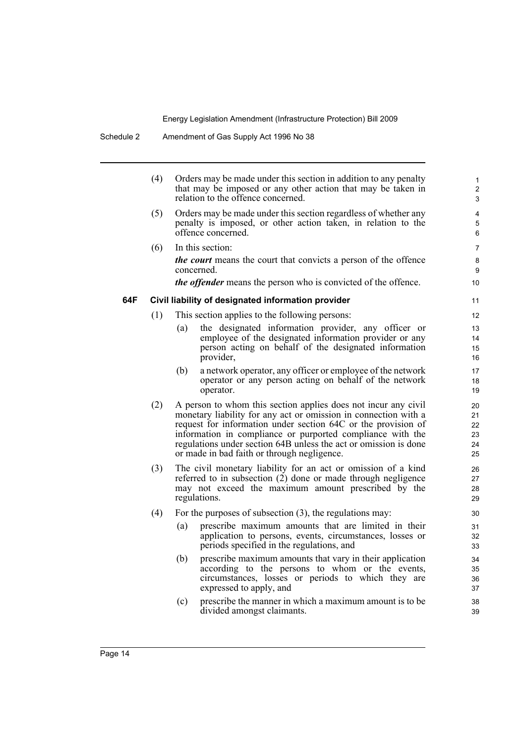|     | (4) |     | Orders may be made under this section in addition to any penalty<br>that may be imposed or any other action that may be taken in<br>relation to the offence concerned.                                                                                                                                                                                                              | 1<br>2<br>3                      |
|-----|-----|-----|-------------------------------------------------------------------------------------------------------------------------------------------------------------------------------------------------------------------------------------------------------------------------------------------------------------------------------------------------------------------------------------|----------------------------------|
|     | (5) |     | Orders may be made under this section regardless of whether any<br>penalty is imposed, or other action taken, in relation to the<br>offence concerned.                                                                                                                                                                                                                              | 4<br>5<br>6                      |
|     | (6) |     | In this section:                                                                                                                                                                                                                                                                                                                                                                    | $\overline{7}$                   |
|     |     |     | <i>the court</i> means the court that convicts a person of the offence<br>concerned.                                                                                                                                                                                                                                                                                                | 8<br>9                           |
|     |     |     | <i>the offender</i> means the person who is convicted of the offence.                                                                                                                                                                                                                                                                                                               | 10 <sup>1</sup>                  |
| 64F |     |     | Civil liability of designated information provider                                                                                                                                                                                                                                                                                                                                  | 11                               |
|     | (1) |     | This section applies to the following persons:                                                                                                                                                                                                                                                                                                                                      | 12                               |
|     |     | (a) | the designated information provider, any officer or<br>employee of the designated information provider or any<br>person acting on behalf of the designated information<br>provider,                                                                                                                                                                                                 | 13<br>14<br>15<br>16             |
|     |     | (b) | a network operator, any officer or employee of the network<br>operator or any person acting on behalf of the network<br>operator.                                                                                                                                                                                                                                                   | 17<br>18<br>19                   |
|     | (2) |     | A person to whom this section applies does not incur any civil<br>monetary liability for any act or omission in connection with a<br>request for information under section 64C or the provision of<br>information in compliance or purported compliance with the<br>regulations under section 64B unless the act or omission is done<br>or made in bad faith or through negligence. | 20<br>21<br>22<br>23<br>24<br>25 |
|     | (3) |     | The civil monetary liability for an act or omission of a kind<br>referred to in subsection (2) done or made through negligence<br>may not exceed the maximum amount prescribed by the<br>regulations.                                                                                                                                                                               | 26<br>27<br>28<br>29             |
|     | (4) |     | For the purposes of subsection $(3)$ , the regulations may:                                                                                                                                                                                                                                                                                                                         | 30                               |
|     |     | (a) | prescribe maximum amounts that are limited in their<br>application to persons, events, circumstances, losses or<br>periods specified in the regulations, and                                                                                                                                                                                                                        | 31<br>32<br>33                   |
|     |     | (b) | prescribe maximum amounts that vary in their application<br>according to the persons to whom or the events,<br>circumstances, losses or periods to which they are<br>expressed to apply, and                                                                                                                                                                                        | 34<br>35<br>36<br>37             |
|     |     | (c) | prescribe the manner in which a maximum amount is to be<br>divided amongst claimants.                                                                                                                                                                                                                                                                                               | 38<br>39                         |
|     |     |     |                                                                                                                                                                                                                                                                                                                                                                                     |                                  |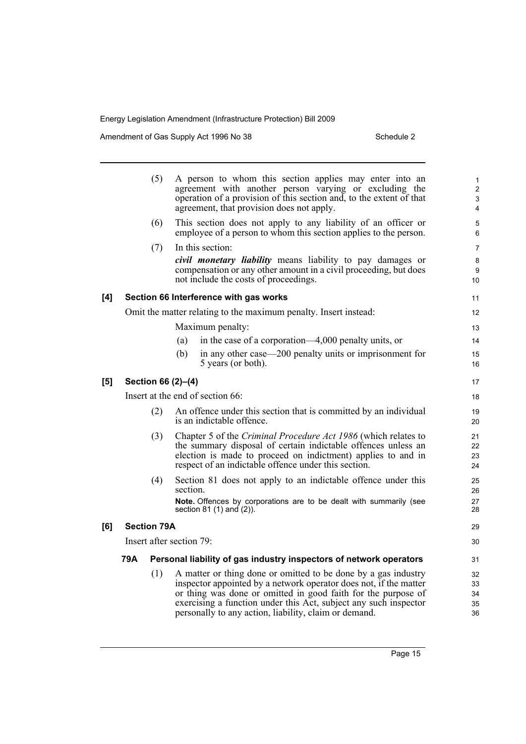Amendment of Gas Supply Act 1996 No 38 Schedule 2 Schedule 2

|     |     | (5)                | A person to whom this section applies may enter into an<br>agreement with another person varying or excluding the<br>operation of a provision of this section and, to the extent of that<br>agreement, that provision does not apply.                                                                                             | $\mathbf{1}$<br>$\overline{2}$<br>3<br>4 |
|-----|-----|--------------------|-----------------------------------------------------------------------------------------------------------------------------------------------------------------------------------------------------------------------------------------------------------------------------------------------------------------------------------|------------------------------------------|
|     |     | (6)                | This section does not apply to any liability of an officer or<br>employee of a person to whom this section applies to the person.                                                                                                                                                                                                 | 5<br>6                                   |
|     |     | (7)                | In this section:<br><i>civil monetary liability</i> means liability to pay damages or<br>compensation or any other amount in a civil proceeding, but does<br>not include the costs of proceedings.                                                                                                                                | $\overline{7}$<br>8<br>9<br>10           |
| [4] |     |                    | Section 66 Interference with gas works                                                                                                                                                                                                                                                                                            | 11                                       |
|     |     |                    | Omit the matter relating to the maximum penalty. Insert instead:                                                                                                                                                                                                                                                                  | 12                                       |
|     |     |                    | Maximum penalty:                                                                                                                                                                                                                                                                                                                  | 13                                       |
|     |     |                    | in the case of a corporation—4,000 penalty units, or<br>(a)                                                                                                                                                                                                                                                                       | 14                                       |
|     |     |                    | (b)<br>in any other case—200 penalty units or imprisonment for<br>5 years (or both).                                                                                                                                                                                                                                              | 15<br>16                                 |
| [5] |     |                    | Section 66 (2)-(4)                                                                                                                                                                                                                                                                                                                | 17                                       |
|     |     |                    | Insert at the end of section 66:                                                                                                                                                                                                                                                                                                  | 18                                       |
|     |     | (2)                | An offence under this section that is committed by an individual<br>is an indictable offence.                                                                                                                                                                                                                                     | 19<br>20                                 |
|     |     | (3)                | Chapter 5 of the Criminal Procedure Act 1986 (which relates to<br>the summary disposal of certain indictable offences unless an<br>election is made to proceed on indictment) applies to and in<br>respect of an indictable offence under this section.                                                                           | 21<br>22<br>23<br>24                     |
|     |     | (4)                | Section 81 does not apply to an indictable offence under this<br>section.                                                                                                                                                                                                                                                         | 25<br>26                                 |
|     |     |                    | Note. Offences by corporations are to be dealt with summarily (see<br>section $81(1)$ and $(2)$ ).                                                                                                                                                                                                                                | 27<br>28                                 |
| [6] |     | <b>Section 79A</b> |                                                                                                                                                                                                                                                                                                                                   | 29                                       |
|     |     |                    | Insert after section 79:                                                                                                                                                                                                                                                                                                          | 30                                       |
|     | 79A |                    | Personal liability of gas industry inspectors of network operators                                                                                                                                                                                                                                                                | 31                                       |
|     |     | (1)                | A matter or thing done or omitted to be done by a gas industry<br>inspector appointed by a network operator does not, if the matter<br>or thing was done or omitted in good faith for the purpose of<br>exercising a function under this Act, subject any such inspector<br>personally to any action, liability, claim or demand. | 32<br>33<br>34<br>35<br>36               |
|     |     |                    |                                                                                                                                                                                                                                                                                                                                   |                                          |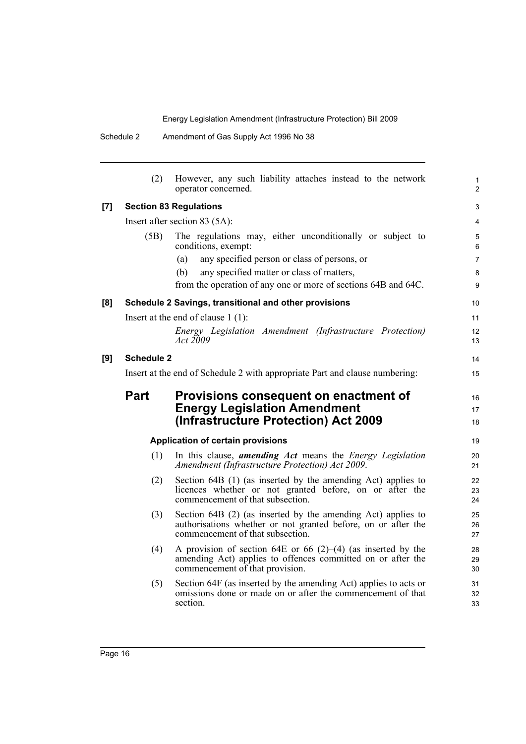|                    | (2)                                                                         | However, any such liability attaches instead to the network<br>operator concerned.                                                                                   | $\mathbf{1}$<br>2 |  |  |
|--------------------|-----------------------------------------------------------------------------|----------------------------------------------------------------------------------------------------------------------------------------------------------------------|-------------------|--|--|
| $\left[ 7 \right]$ | <b>Section 83 Regulations</b>                                               |                                                                                                                                                                      |                   |  |  |
|                    | Insert after section 83 (5A):                                               |                                                                                                                                                                      |                   |  |  |
|                    | (5B)                                                                        | The regulations may, either unconditionally or subject to<br>conditions, exempt:                                                                                     | 5<br>6            |  |  |
|                    |                                                                             | any specified person or class of persons, or<br>(a)                                                                                                                  | $\overline{7}$    |  |  |
|                    |                                                                             | any specified matter or class of matters,<br>(b)                                                                                                                     | 8                 |  |  |
|                    |                                                                             | from the operation of any one or more of sections 64B and 64C.                                                                                                       | 9                 |  |  |
| [8]                | Schedule 2 Savings, transitional and other provisions                       |                                                                                                                                                                      |                   |  |  |
|                    | Insert at the end of clause $1(1)$ :                                        |                                                                                                                                                                      |                   |  |  |
|                    |                                                                             | Energy Legislation Amendment (Infrastructure Protection)<br><i>Act</i> 2009                                                                                          | 12<br>13          |  |  |
| [9]                | Schedule 2                                                                  |                                                                                                                                                                      |                   |  |  |
|                    | Insert at the end of Schedule 2 with appropriate Part and clause numbering: |                                                                                                                                                                      |                   |  |  |
|                    | <b>Part</b>                                                                 | Provisions consequent on enactment of<br><b>Energy Legislation Amendment</b><br>(Infrastructure Protection) Act 2009                                                 | 16<br>17<br>18    |  |  |
|                    | <b>Application of certain provisions</b>                                    |                                                                                                                                                                      |                   |  |  |
|                    | (1)                                                                         | In this clause, <i>amending Act</i> means the <i>Energy Legislation</i><br>Amendment (Infrastructure Protection) Act 2009.                                           | 20<br>21          |  |  |
|                    | (2)                                                                         | Section 64B (1) (as inserted by the amending Act) applies to<br>licences whether or not granted before, on or after the<br>commencement of that subsection.          | 22<br>23<br>24    |  |  |
|                    | (3)                                                                         | Section 64B (2) (as inserted by the amending Act) applies to<br>authorisations whether or not granted before, on or after the<br>commencement of that subsection.    | 25<br>26<br>27    |  |  |
|                    | (4)                                                                         | A provision of section 64E or 66 $(2)$ – $(4)$ (as inserted by the<br>amending Act) applies to offences committed on or after the<br>commencement of that provision. | 28<br>29<br>30    |  |  |
|                    | (5)                                                                         | Section 64F (as inserted by the amending Act) applies to acts or<br>omissions done or made on or after the commencement of that<br>section.                          | 31<br>32<br>33    |  |  |